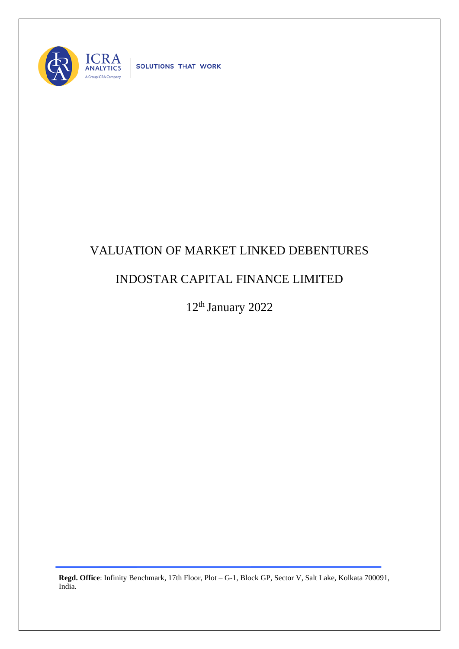

SOLUTIONS THAT WORK

## VALUATION OF MARKET LINKED DEBENTURES

## INDOSTAR CAPITAL FINANCE LIMITED

12<sup>th</sup> January 2022

**Regd. Office**: Infinity Benchmark, 17th Floor, Plot – G-1, Block GP, Sector V, Salt Lake, Kolkata 700091, India.